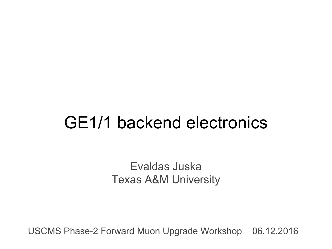# GE1/1 backend electronics

Evaldas Juska Texas A&M University

USCMS Phase-2 Forward Muon Upgrade Workshop 06.12.2016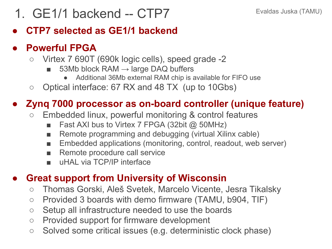### 1. GE1/1 backend -- CTP7 Evaldas Juska (TAMU)

### **● CTP7 selected as GE1/1 backend**

#### **● Powerful FPGA**

- Virtex 7 690T (690k logic cells), speed grade -2
	- 53Mb block RAM  $\rightarrow$  large DAQ buffers
		- Additional 36Mb external RAM chip is available for FIFO use
- Optical interface: 67 RX and 48 TX (up to 10Gbs)

### **● Zynq 7000 processor as on-board controller (unique feature)**

- Embedded linux, powerful monitoring & control features
	- Fast AXI bus to Virtex 7 FPGA (32bit  $@$  50MHz)
	- Remote programming and debugging (virtual Xilinx cable)
	- Embedded applications (monitoring, control, readout, web server)
	- Remote procedure call service
	- uHAL via TCP/IP interface

### **● Great support from University of Wisconsin**

- Thomas Gorski, Aleš Svetek, Marcelo Vicente, Jesra Tikalsky
- Provided 3 boards with demo firmware (TAMU, b904, TIF)
- Setup all infrastructure needed to use the boards
- Provided support for firmware development
- Solved some critical issues (e.g. deterministic clock phase)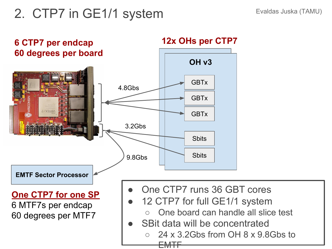### 2. CTP7 in GE1/1 system Evaldas Juska (TAMU)

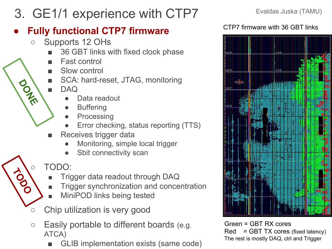3. GE1/1 experience with CTP7 Evaldas Juska (TAMU)

### **● Fully functional CTP7 firmware**

- Supports 12 OHs
	- 36 GBT links with fixed clock phase
	- **Fast control**
	- Slow control
	- SCA: hard-reset, JTAG, monitoring
	- DAQ

**DONE** 

**TODO**

- Data readout
- **Buffering**
- **Processing**
- Error checking, status reporting (TTS)
- Receives trigger data
	- Monitoring, simple local trigger
	- Sbit connectivity scan

### TODO:

- Trigger data readout through DAQ
- Trigger synchronization and concentration
- MiniPOD links being tested
- Chip utilization is very good
- Easily portable to different boards (e.g. ATCA)
	- GLIB implementation exists (same code)



#### CTP7 firmware with 36 GBT links



Green = GBT RX cores Red = GBT TX cores (fixed latency) The rest is mostly DAQ, ctrl and Trigger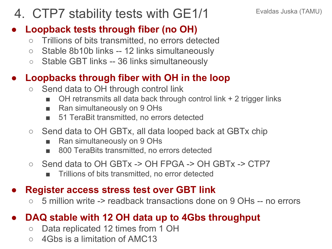### 4. CTP7 stability tests with GE1/1 Evaldas Juska (TAMU)

#### **● Loopback tests through fiber (no OH)**

- Trillions of bits transmitted, no errors detected
- Stable 8b10b links -- 12 links simultaneously
- Stable GBT links -- 36 links simultaneously

### **● Loopbacks through fiber with OH in the loop**

- Send data to OH through control link
	- OH retransmits all data back through control link  $+ 2$  trigger links
	- Ran simultaneously on 9 OHs
	- 51 TeraBit transmitted, no errors detected
- Send data to OH GBTx, all data looped back at GBTx chip
	- Ran simultaneously on 9 OHs
	- 800 TeraBits transmitted, no errors detected
- Send data to OH GBTx -> OH FPGA -> OH GBTx -> CTP7
	- Trillions of bits transmitted, no error detected

#### **● Register access stress test over GBT link**

○ 5 million write -> readback transactions done on 9 OHs -- no errors

### **● DAQ stable with 12 OH data up to 4Gbs throughput**

- Data replicated 12 times from 1 OH
- 4Gbs is a limitation of AMC13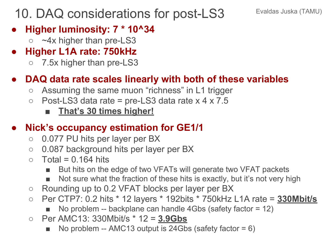### 10. DAQ considerations for post-LS3 Evaldas Juska (TAMU)

- **● Higher luminosity: 7 \* 10^34**
	- o ~4x higher than pre-LS3
- **● Higher L1A rate: 750kHz**
	- 7.5x higher than pre-LS3

### **● DAQ data rate scales linearly with both of these variables**

- Assuming the same muon "richness" in L1 trigger
- $\circ$  Post-LS3 data rate = pre-LS3 data rate x 4 x 7.5
	- **■ That's 30 times higher!**

### **● Nick's occupancy estimation for GE1/1**

- 0.077 PU hits per layer per BX
- 0.087 background hits per layer per BX
- $\circ$  Total = 0.164 hits
	- But hits on the edge of two VFATs will generate two VFAT packets
	- Not sure what the fraction of these hits is exactly, but it's not very high
- Rounding up to 0.2 VFAT blocks per layer per BX
- Per CTP7: 0.2 hits \* 12 layers \* 192bits \* 750kHz L1A rate = **330Mbit/s**
	- No problem -- backplane can handle  $4Gbs$  (safety factor = 12)
- Per AMC13: 330Mbit/s \* 12 = **3.9Gbs**
	- No problem -- AMC13 output is 24Gbs (safety factor  $= 6$ )